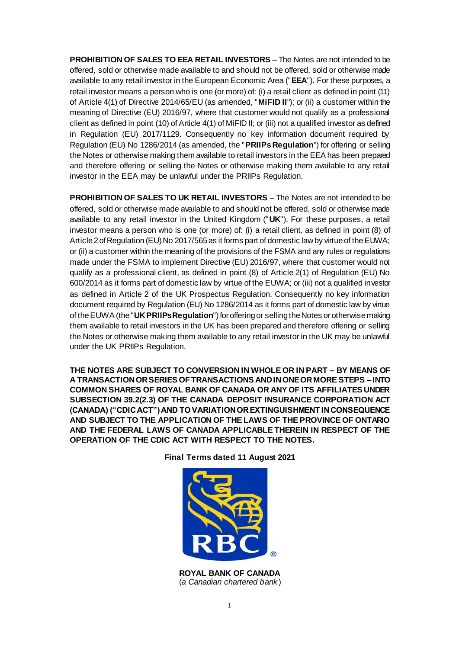**PROHIBITION OF SALES TO EEA RETAIL INVESTORS** – The Notes are not intended to be offered, sold or otherwise made available to and should not be offered, sold or otherwise made available to any retail investor in the European Economic Area ("**EEA**"). For these purposes, a retail investor means a person who is one (or more) of: (i) a retail client as defined in point (11) of Article 4(1) of Directive 2014/65/EU (as amended, "**MiFID II**"); or (ii) a customer within the meaning of Directive (EU) 2016/97, where that customer would not qualify as a professional client as defined in point (10) of Article 4(1) of MiFID II; or (iii) not a qualified investor as defined in Regulation (EU) 2017/1129. Consequently no key information document required by Regulation (EU) No 1286/2014 (as amended, the "**PRIIPs Regulation**") for offering or selling the Notes or otherwise making them available to retail investors in the EEA has been prepared and therefore offering or selling the Notes or otherwise making them available to any retail investor in the EEA may be unlawful under the PRIIPs Regulation.

**PROHIBITION OF SALES TO UK RETAIL INVESTORS** – The Notes are not intended to be offered, sold or otherwise made available to and should not be offered, sold or otherwise made available to any retail investor in the United Kingdom ("**UK**"). For these purposes, a retail investor means a person who is one (or more) of: (i) a retail client, as defined in point (8) of Article 2 of Regulation (EU) No 2017/565 as it forms part of domestic law by virtue of the EUWA; or (ii) a customer within the meaning of the provisions of the FSMA and any rules or regulations made under the FSMA to implement Directive (EU) 2016/97, where that customer would not qualify as a professional client, as defined in point (8) of Article 2(1) of Regulation (EU) No 600/2014 as it forms part of domestic law by virtue of the EUWA; or (iii) not a qualified investor as defined in Article 2 of the UK Prospectus Regulation. Consequently no key information document required by Regulation (EU) No 1286/2014 as it forms part of domestic law by virtue of the EUWA (the "**UK PRIIPs Regulation**") for offering or selling the Notes or otherwise making them available to retail investors in the UK has been prepared and therefore offering or selling the Notes or otherwise making them available to any retail investor in the UK may be unlawful under the UK PRIIPs Regulation.

**THE NOTES ARE SUBJECT TO CONVERSION IN WHOLE OR IN PART – BY MEANS OF A TRANSACTION OR SERIES OF TRANSACTIONS AND IN ONE OR MORE STEPS –INTO COMMON SHARES OF ROYAL BANK OF CANADA OR ANY OF ITS AFFILIATES UNDER SUBSECTION 39.2(2.3) OF THE CANADA DEPOSIT INSURANCE CORPORATION ACT (CANADA) ("CDIC ACT") AND TO VARIATION OR EXTINGUISHMENT IN CONSEQUENCE AND SUBJECT TO THE APPLICATION OF THE LAWS OF THE PROVINCE OF ONTARIO AND THE FEDERAL LAWS OF CANADA APPLICABLE THEREIN IN RESPECT OF THE OPERATION OF THE CDIC ACT WITH RESPECT TO THE NOTES.**



**Final Terms dated 11 August 2021**

**ROYAL BANK OF CANADA** (*a Canadian chartered bank* )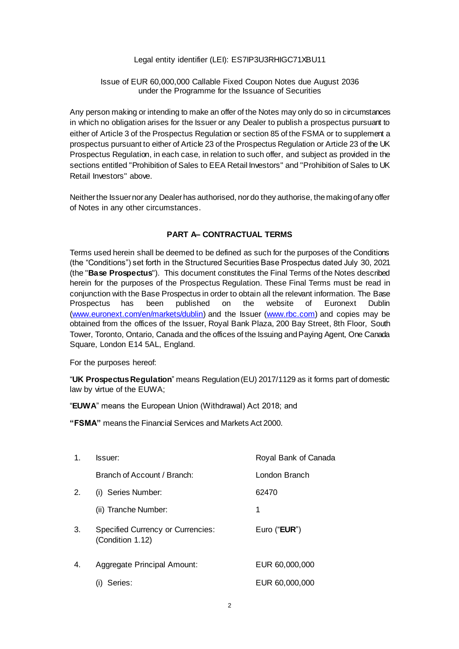# Legal entity identifier (LEI): ES7IP3U3RHIGC71XBU11

## Issue of EUR 60,000,000 Callable Fixed Coupon Notes due August 2036 under the Programme for the Issuance of Securities

Any person making or intending to make an offer of the Notes may only do so in circumstances in which no obligation arises for the Issuer or any Dealer to publish a prospectus pursuant to either of Article 3 of the Prospectus Regulation or section 85 of the FSMA or to supplement a prospectus pursuant to either of Article 23 of the Prospectus Regulation or Article 23 of the UK Prospectus Regulation, in each case, in relation to such offer, and subject as provided in the sections entitled "Prohibition of Sales to EEA Retail Investors" and "Prohibition of Sales to UK Retail Investors" above.

Neither the Issuer nor any Dealer has authorised, nor do they authorise, the making of any offer of Notes in any other circumstances.

#### **PART A– CONTRACTUAL TERMS**

Terms used herein shall be deemed to be defined as such for the purposes of the Conditions (the "Conditions") set forth in the Structured Securities Base Prospectus dated July 30, 2021 (the "**Base Prospectus**"). This document constitutes the Final Terms of the Notes described herein for the purposes of the Prospectus Regulation. These Final Terms must be read in conjunction with the Base Prospectus in order to obtain all the relevant information. The Base Prospectus has been published on the website of Euronext Dublin [\(www.euronext.com/en/markets/dublin](http://www.euronext.com/en/markets/dublin)) and the Issuer [\(www.rbc.com](http://www.rbc.com/)) and copies may be obtained from the offices of the Issuer, Royal Bank Plaza, 200 Bay Street, 8th Floor, South Tower, Toronto, Ontario, Canada and the offices of the Issuing and Paying Agent, One Canada Square, London E14 5AL, England.

For the purposes hereof:

"**UK Prospectus Regulation**" means Regulation (EU) 2017/1129 as it forms part of domestic law by virtue of the EUWA;

"**EUWA**" means the European Union (Withdrawal) Act 2018; and

**"FSMA"** means the Financial Services and Markets Act 2000.

| 1. | Issuer:                                                      | Royal Bank of Canada  |
|----|--------------------------------------------------------------|-----------------------|
|    | Branch of Account / Branch:                                  | London Branch         |
| 2. | (i) Series Number:                                           | 62470                 |
|    | (ii) Tranche Number:                                         | 1                     |
| 3. | <b>Specified Currency or Currencies:</b><br>(Condition 1.12) | Euro (" <b>EUR</b> ") |
| 4. | Aggregate Principal Amount:                                  | EUR 60,000,000        |
|    | Series:                                                      | EUR 60,000,000        |
|    |                                                              |                       |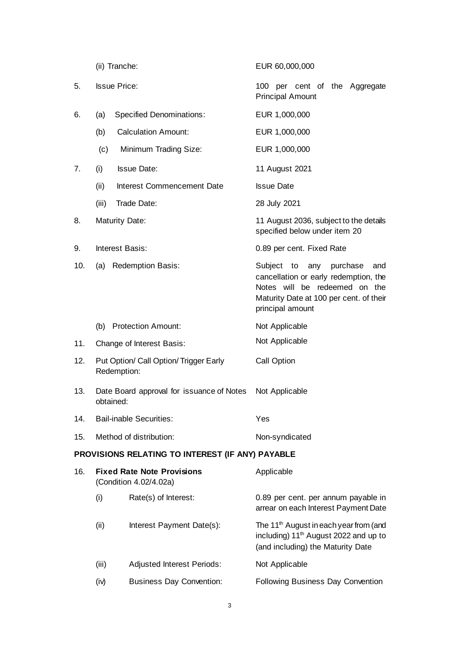|     | (ii) Tranche:       |                                                             | EUR 60,000,000                                                                                                                                                                |
|-----|---------------------|-------------------------------------------------------------|-------------------------------------------------------------------------------------------------------------------------------------------------------------------------------|
| 5.  | <b>Issue Price:</b> |                                                             | 100 per cent of the Aggregate<br><b>Principal Amount</b>                                                                                                                      |
| 6.  | (a)                 | <b>Specified Denominations:</b>                             | EUR 1,000,000                                                                                                                                                                 |
|     | (b)                 | <b>Calculation Amount:</b>                                  | EUR 1,000,000                                                                                                                                                                 |
|     | (c)                 | Minimum Trading Size:                                       | EUR 1,000,000                                                                                                                                                                 |
| 7.  | (i)                 | <b>Issue Date:</b>                                          | 11 August 2021                                                                                                                                                                |
|     | (ii)                | Interest Commencement Date                                  | <b>Issue Date</b>                                                                                                                                                             |
|     | (iii)               | Trade Date:                                                 | 28 July 2021                                                                                                                                                                  |
| 8.  |                     | <b>Maturity Date:</b>                                       | 11 August 2036, subject to the details<br>specified below under item 20                                                                                                       |
| 9.  |                     | Interest Basis:                                             | 0.89 per cent. Fixed Rate                                                                                                                                                     |
| 10. | (a)                 | <b>Redemption Basis:</b>                                    | Subject to<br>any<br>purchase<br>and<br>cancellation or early redemption, the<br>Notes will be redeemed on the<br>Maturity Date at 100 per cent. of their<br>principal amount |
|     | (b)                 | <b>Protection Amount:</b>                                   | Not Applicable                                                                                                                                                                |
| 11. |                     | Change of Interest Basis:                                   | Not Applicable                                                                                                                                                                |
| 12. | Redemption:         | Put Option/ Call Option/ Trigger Early                      | Call Option                                                                                                                                                                   |
| 13. | obtained:           | Date Board approval for issuance of Notes                   | Not Applicable                                                                                                                                                                |
| 14. |                     | <b>Bail-inable Securities:</b>                              | Yes                                                                                                                                                                           |
| 15. |                     | Method of distribution:                                     | Non-syndicated                                                                                                                                                                |
|     |                     | PROVISIONS RELATING TO INTEREST (IF ANY) PAYABLE            |                                                                                                                                                                               |
| 16. |                     | <b>Fixed Rate Note Provisions</b><br>(Condition 4.02/4.02a) | Applicable                                                                                                                                                                    |
|     | (i)                 | Rate(s) of Interest:                                        | 0.89 per cent. per annum payable in<br>arrear on each Interest Payment Date                                                                                                   |
|     | (ii)                | Interest Payment Date(s):                                   | The 11 <sup>th</sup> August in each year from (and<br>including) 11 <sup>th</sup> August 2022 and up to<br>(and including) the Maturity Date                                  |
|     | (iii)               | Adjusted Interest Periods:                                  | Not Applicable                                                                                                                                                                |
|     | (iv)                | <b>Business Day Convention:</b>                             | Following Business Day Convention                                                                                                                                             |

3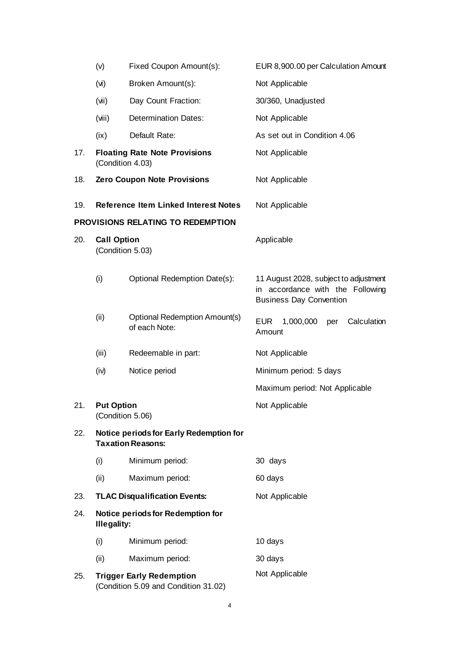|     | (v)                                                                 | Fixed Coupon Amount(s):                                                 | EUR 8,900.00 per Calculation Amount                                                                         |
|-----|---------------------------------------------------------------------|-------------------------------------------------------------------------|-------------------------------------------------------------------------------------------------------------|
|     | (v)                                                                 | Broken Amount(s):                                                       | Not Applicable                                                                                              |
|     | (iiv)                                                               | Day Count Fraction:                                                     | 30/360, Unadjusted                                                                                          |
|     | (viii)                                                              | <b>Determination Dates:</b>                                             | Not Applicable                                                                                              |
|     | (ix)                                                                | Default Rate:                                                           | As set out in Condition 4.06                                                                                |
| 17. | (Condition 4.03)                                                    | <b>Floating Rate Note Provisions</b>                                    | Not Applicable                                                                                              |
| 18. |                                                                     | <b>Zero Coupon Note Provisions</b>                                      | Not Applicable                                                                                              |
| 19. |                                                                     | <b>Reference Item Linked Interest Notes</b>                             | Not Applicable                                                                                              |
|     |                                                                     | PROVISIONS RELATING TO REDEMPTION                                       |                                                                                                             |
| 20. | <b>Call Option</b><br>(Condition 5.03)                              |                                                                         | Applicable                                                                                                  |
|     | (i)                                                                 | Optional Redemption Date(s):                                            | 11 August 2028, subject to adjustment<br>in accordance with the Following<br><b>Business Day Convention</b> |
|     | (ii)                                                                | <b>Optional Redemption Amount(s)</b><br>of each Note:                   | 1,000,000<br>Calculation<br><b>EUR</b><br>per<br>Amount                                                     |
|     | (iii)                                                               | Redeemable in part:                                                     | Not Applicable                                                                                              |
|     | (iv)                                                                | Notice period                                                           | Minimum period: 5 days                                                                                      |
|     |                                                                     |                                                                         | Maximum period: Not Applicable                                                                              |
| 21. | <b>Put Option</b><br>(Condition 5.06)                               |                                                                         | Not Applicable                                                                                              |
| 22. | Notice periods for Early Redemption for<br><b>Taxation Reasons:</b> |                                                                         |                                                                                                             |
|     | (i)                                                                 | Minimum period:                                                         | 30 days                                                                                                     |
|     | (ii)                                                                | Maximum period:                                                         | 60 days                                                                                                     |
| 23. |                                                                     | <b>TLAC Disqualification Events:</b>                                    | Not Applicable                                                                                              |
| 24. | <b>Illegality:</b>                                                  | <b>Notice periods for Redemption for</b>                                |                                                                                                             |
|     | (i)                                                                 | Minimum period:                                                         | 10 days                                                                                                     |
|     | (ii)                                                                | Maximum period:                                                         | 30 days                                                                                                     |
| 25. |                                                                     | <b>Trigger Early Redemption</b><br>(Condition 5.09 and Condition 31.02) | Not Applicable                                                                                              |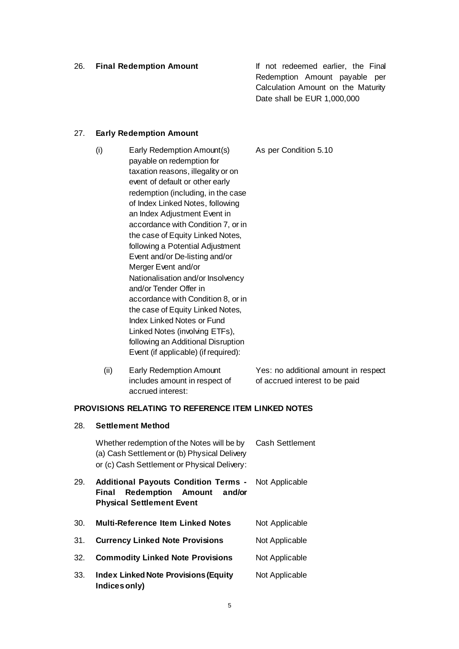26. **Final Redemption Amount** If not redeemed earlier, the Final Redemption Amount payable per Calculation Amount on the Maturity Date shall be EUR 1,000,000

# 27. **Early Redemption Amount**

28. **Settlement Method**

- (i) Early Redemption Amount(s) payable on redemption for taxation reasons, illegality or on event of default or other early redemption (including, in the case of Index Linked Notes, following an Index Adjustment Event in accordance with Condition 7, or in the case of Equity Linked Notes. following a Potential Adjustment Event and/or De-listing and/or Merger Event and/or Nationalisation and/or Insolvency and/or Tender Offer in accordance with Condition 8, or in the case of Equity Linked Notes, Index Linked Notes or Fund Linked Notes (involving ETFs), following an Additional Disruption Event (if applicable) (if required): As per Condition 5.10
	- (ii) Early Redemption Amount includes amount in respect of accrued interest: Yes: no additional amount in respect of accrued interest to be paid

# **PROVISIONS RELATING TO REFERENCE ITEM LINKED NOTES**

|     | Whether redemption of the Notes will be by<br>(a) Cash Settlement or (b) Physical Delivery<br>or (c) Cash Settlement or Physical Delivery: | <b>Cash Settlement</b> |
|-----|--------------------------------------------------------------------------------------------------------------------------------------------|------------------------|
| 29. | <b>Additional Payouts Condition Terms -</b><br>Redemption Amount and/or<br>Final<br><b>Physical Settlement Event</b>                       | Not Applicable         |
| 30. | <b>Multi-Reference Item Linked Notes</b>                                                                                                   | Not Applicable         |
| 31. | <b>Currency Linked Note Provisions</b>                                                                                                     | Not Applicable         |
| 32. | <b>Commodity Linked Note Provisions</b>                                                                                                    | Not Applicable         |
| 33. | <b>Index Linked Note Provisions (Equity</b><br>Indices only)                                                                               | Not Applicable         |
|     |                                                                                                                                            |                        |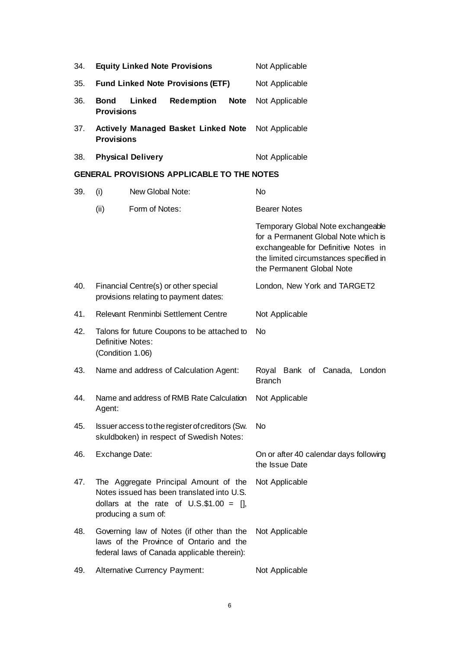| 34. | <b>Equity Linked Note Provisions</b>                                                                                                                      | Not Applicable                                                                                                                                                                            |
|-----|-----------------------------------------------------------------------------------------------------------------------------------------------------------|-------------------------------------------------------------------------------------------------------------------------------------------------------------------------------------------|
| 35. | <b>Fund Linked Note Provisions (ETF)</b>                                                                                                                  | Not Applicable                                                                                                                                                                            |
| 36. | <b>Bond</b><br>Linked<br><b>Redemption</b><br><b>Note</b><br><b>Provisions</b>                                                                            | Not Applicable                                                                                                                                                                            |
| 37. | <b>Actively Managed Basket Linked Note</b><br><b>Provisions</b>                                                                                           | Not Applicable                                                                                                                                                                            |
| 38. | <b>Physical Delivery</b>                                                                                                                                  | Not Applicable                                                                                                                                                                            |
|     | <b>GENERAL PROVISIONS APPLICABLE TO THE NOTES</b>                                                                                                         |                                                                                                                                                                                           |
| 39. | (i)<br>New Global Note:                                                                                                                                   | <b>No</b>                                                                                                                                                                                 |
|     | (ii)<br>Form of Notes:                                                                                                                                    | <b>Bearer Notes</b>                                                                                                                                                                       |
|     |                                                                                                                                                           | Temporary Global Note exchangeable<br>for a Permanent Global Note which is<br>exchangeable for Definitive Notes in<br>the limited circumstances specified in<br>the Permanent Global Note |
| 40. | Financial Centre(s) or other special<br>provisions relating to payment dates:                                                                             | London, New York and TARGET2                                                                                                                                                              |
| 41. | Relevant Renminbi Settlement Centre                                                                                                                       | Not Applicable                                                                                                                                                                            |
| 42. | Talons for future Coupons to be attached to<br>Definitive Notes:<br>(Condition 1.06)                                                                      | N <sub>o</sub>                                                                                                                                                                            |
| 43. | Name and address of Calculation Agent:                                                                                                                    | Royal Bank of Canada,<br>London<br><b>Branch</b>                                                                                                                                          |
| 44. | Name and address of RMB Rate Calculation<br>Agent:                                                                                                        | Not Applicable                                                                                                                                                                            |
| 45. | Issuer access to the register of creditors (Sw.<br>skuldboken) in respect of Swedish Notes:                                                               | No.                                                                                                                                                                                       |
| 46. | Exchange Date:                                                                                                                                            | On or after 40 calendar days following<br>the Issue Date                                                                                                                                  |
| 47. | The Aggregate Principal Amount of the<br>Notes issued has been translated into U.S.<br>dollars at the rate of $U.S.\$ \$1.00 = [],<br>producing a sum of: | Not Applicable                                                                                                                                                                            |
| 48. | Governing law of Notes (if other than the<br>laws of the Province of Ontario and the<br>federal laws of Canada applicable therein):                       | Not Applicable                                                                                                                                                                            |
| 49. | <b>Alternative Currency Payment:</b>                                                                                                                      | Not Applicable                                                                                                                                                                            |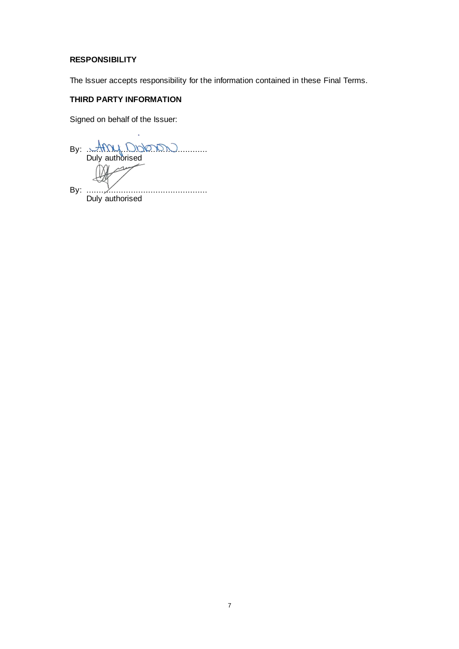# **RESPONSIBILITY**

The Issuer accepts responsibility for the information contained in these Final Terms.

# **THIRD PARTY INFORMATION**

Signed on behalf of the Issuer:

By:  $\mathcal{M} \cup \mathcal{M} \cup \mathcal{M} \cup \dots$ Duly authorised  $\overline{\mathcal{A}}$ By: ................................................. Duly authorised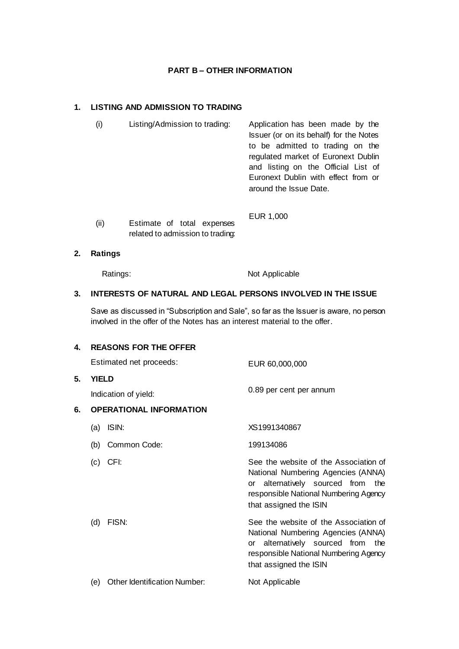# **PART B – OTHER INFORMATION**

# **1. LISTING AND ADMISSION TO TRADING**

- (i) Listing/Admission to trading: Application has been made by the Issuer (or on its behalf) for the Notes to be admitted to trading on the regulated market of Euronext Dublin and listing on the Official List of Euronext Dublin with effect from or around the Issue Date. EUR 1,000
	- (ii) Estimate of total expenses related to admission to trading:

## **2. Ratings**

Ratings: Not Applicable

# **3. INTERESTS OF NATURAL AND LEGAL PERSONS INVOLVED IN THE ISSUE**

Save as discussed in "Subscription and Sale", so far as the Issuer is aware, no person involved in the offer of the Notes has an interest material to the offer.

| 4. |              | <b>REASONS FOR THE OFFER</b>   |                                                                                                                                                                                        |
|----|--------------|--------------------------------|----------------------------------------------------------------------------------------------------------------------------------------------------------------------------------------|
|    |              | Estimated net proceeds:        | EUR 60,000,000                                                                                                                                                                         |
| 5. | <b>YIELD</b> |                                |                                                                                                                                                                                        |
|    |              | Indication of yield:           | 0.89 per cent per annum                                                                                                                                                                |
| 6. |              | <b>OPERATIONAL INFORMATION</b> |                                                                                                                                                                                        |
|    | (a)          | ISIN:                          | XS1991340867                                                                                                                                                                           |
|    | (b)          | Common Code:                   | 199134086                                                                                                                                                                              |
|    | (c)          | CFI:                           | See the website of the Association of<br>National Numbering Agencies (ANNA)<br>alternatively sourced from the<br>or<br>responsible National Numbering Agency<br>that assigned the ISIN |
|    | (d)          | FISN:                          | See the website of the Association of<br>National Numbering Agencies (ANNA)<br>alternatively sourced from the<br>or<br>responsible National Numbering Agency<br>that assigned the ISIN |
|    | (e)          | Other Identification Number:   | Not Applicable                                                                                                                                                                         |
|    |              |                                |                                                                                                                                                                                        |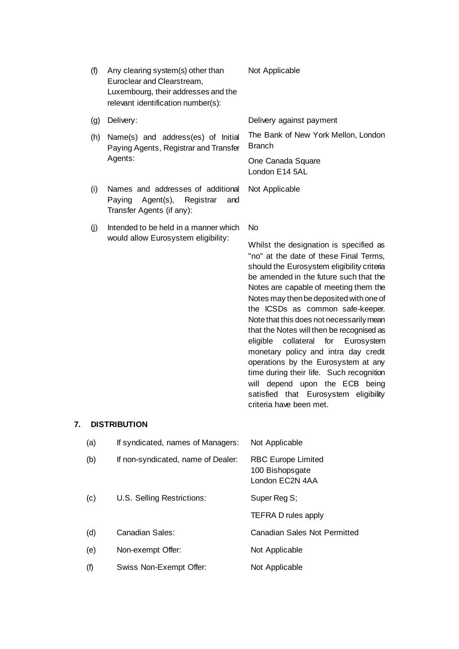| (f) | Any clearing system(s) other than<br>Euroclear and Clearstream,<br>Luxembourg, their addresses and the<br>relevant identification number(s): | Not Applicable                                                                                                                                                                                                                                                                                                                                                                                                                                                                                                                                                                                                                                                               |
|-----|----------------------------------------------------------------------------------------------------------------------------------------------|------------------------------------------------------------------------------------------------------------------------------------------------------------------------------------------------------------------------------------------------------------------------------------------------------------------------------------------------------------------------------------------------------------------------------------------------------------------------------------------------------------------------------------------------------------------------------------------------------------------------------------------------------------------------------|
| (g) | Delivery:                                                                                                                                    | Delivery against payment                                                                                                                                                                                                                                                                                                                                                                                                                                                                                                                                                                                                                                                     |
| (h) | Name(s) and address(es) of Initial<br>Paying Agents, Registrar and Transfer<br>Agents:                                                       | The Bank of New York Mellon, London<br><b>Branch</b>                                                                                                                                                                                                                                                                                                                                                                                                                                                                                                                                                                                                                         |
|     |                                                                                                                                              | One Canada Square<br>London E14 5AL                                                                                                                                                                                                                                                                                                                                                                                                                                                                                                                                                                                                                                          |
| (i) | Names and addresses of additional<br>Paying<br>Agent(s),<br>Registrar<br>and<br>Transfer Agents (if any):                                    | Not Applicable                                                                                                                                                                                                                                                                                                                                                                                                                                                                                                                                                                                                                                                               |
| (j) | Intended to be held in a manner which                                                                                                        | <b>No</b>                                                                                                                                                                                                                                                                                                                                                                                                                                                                                                                                                                                                                                                                    |
|     | would allow Eurosystem eligibility:                                                                                                          | Whilst the designation is specified as<br>"no" at the date of these Final Terms,<br>should the Eurosystem eligibility criteria<br>be amended in the future such that the<br>Notes are capable of meeting them the<br>Notes may then be deposited with one of<br>the ICSDs as common safe-keeper.<br>Note that this does not necessarily mean<br>that the Notes will then be recognised as<br>for<br>eligible<br>collateral<br>Eurosystem<br>monetary policy and intra day credit<br>operations by the Eurosystem at any<br>time during their life. Such recognition<br>depend upon the ECB being<br>will<br>satisfied that Eurosystem eligibility<br>criteria have been met. |
|     | DISTRIRI ITION                                                                                                                               |                                                                                                                                                                                                                                                                                                                                                                                                                                                                                                                                                                                                                                                                              |

# **7. DISTRIBUTION**

| (a) | If syndicated, names of Managers:  | Not Applicable                                                  |
|-----|------------------------------------|-----------------------------------------------------------------|
| (b) | If non-syndicated, name of Dealer: | <b>RBC Europe Limited</b><br>100 Bishopsgate<br>London EC2N 4AA |
| (c) | U.S. Selling Restrictions:         | Super Reg S;                                                    |
|     |                                    | TEFRA D rules apply                                             |
| (d) | Canadian Sales:                    | <b>Canadian Sales Not Permitted</b>                             |
| (e) | Non-exempt Offer:                  | Not Applicable                                                  |
| (f) | Swiss Non-Exempt Offer:            | Not Applicable                                                  |